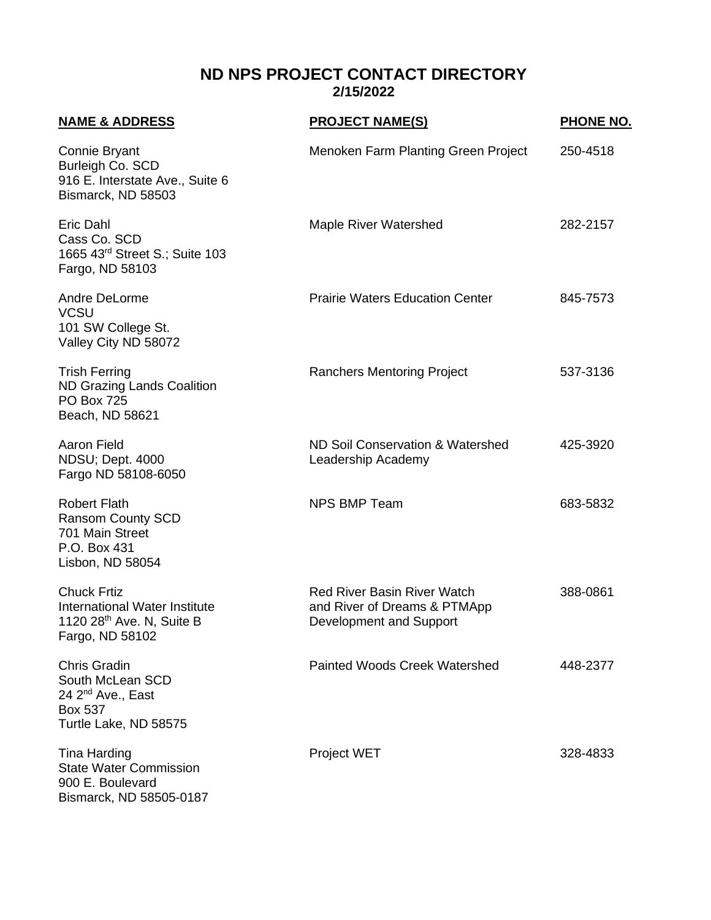## **ND NPS PROJECT CONTACT DIRECTORY 2/15/2022**

| <b>NAME &amp; ADDRESS</b>                                                                                           | <b>PROJECT NAME(S)</b>                                                                        | <b>PHONE NO.</b> |
|---------------------------------------------------------------------------------------------------------------------|-----------------------------------------------------------------------------------------------|------------------|
| Connie Bryant<br>Burleigh Co. SCD<br>916 E. Interstate Ave., Suite 6<br>Bismarck, ND 58503                          | Menoken Farm Planting Green Project                                                           | 250-4518         |
| Eric Dahl<br>Cass Co. SCD<br>1665 43rd Street S.; Suite 103<br>Fargo, ND 58103                                      | <b>Maple River Watershed</b>                                                                  | 282-2157         |
| Andre DeLorme<br><b>VCSU</b><br>101 SW College St.<br>Valley City ND 58072                                          | <b>Prairie Waters Education Center</b>                                                        | 845-7573         |
| <b>Trish Ferring</b><br><b>ND Grazing Lands Coalition</b><br><b>PO Box 725</b><br>Beach, ND 58621                   | <b>Ranchers Mentoring Project</b>                                                             | 537-3136         |
| <b>Aaron Field</b><br>NDSU; Dept. 4000<br>Fargo ND 58108-6050                                                       | ND Soil Conservation & Watershed<br>Leadership Academy                                        | 425-3920         |
| <b>Robert Flath</b><br><b>Ransom County SCD</b><br>701 Main Street<br>P.O. Box 431<br>Lisbon, ND 58054              | <b>NPS BMP Team</b>                                                                           | 683-5832         |
| <b>Chuck Frtiz</b><br>International Water Institute<br>1120 28 <sup>th</sup> Ave. N, Suite B<br>Fargo, ND 58102     | <b>Red River Basin River Watch</b><br>and River of Dreams & PTMApp<br>Development and Support | 388-0861         |
| <b>Chris Gradin</b><br>South McLean SCD<br>24 2 <sup>nd</sup> Ave., East<br><b>Box 537</b><br>Turtle Lake, ND 58575 | <b>Painted Woods Creek Watershed</b>                                                          | 448-2377         |
| Tina Harding<br><b>State Water Commission</b><br>900 E. Boulevard<br>Bismarck, ND 58505-0187                        | <b>Project WET</b>                                                                            | 328-4833         |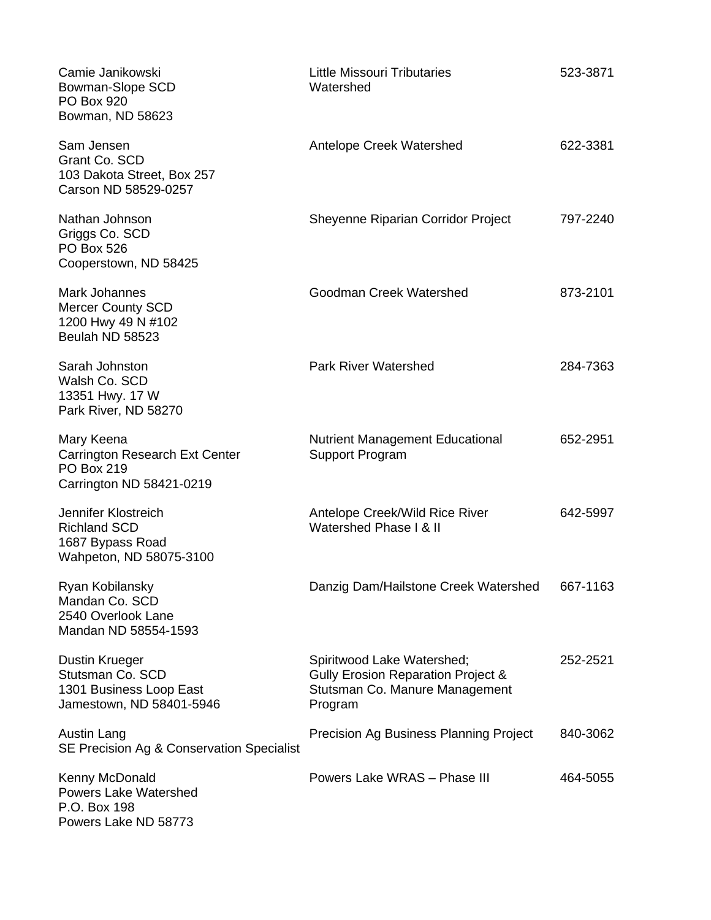| Camie Janikowski<br>Bowman-Slope SCD<br>PO Box 920<br>Bowman, ND 58623                               | <b>Little Missouri Tributaries</b><br>Watershed                                                               | 523-3871 |
|------------------------------------------------------------------------------------------------------|---------------------------------------------------------------------------------------------------------------|----------|
| Sam Jensen<br>Grant Co. SCD<br>103 Dakota Street, Box 257<br>Carson ND 58529-0257                    | Antelope Creek Watershed                                                                                      | 622-3381 |
| Nathan Johnson<br>Griggs Co. SCD<br><b>PO Box 526</b><br>Cooperstown, ND 58425                       | Sheyenne Riparian Corridor Project                                                                            | 797-2240 |
| Mark Johannes<br>Mercer County SCD<br>1200 Hwy 49 N #102<br>Beulah ND 58523                          | Goodman Creek Watershed                                                                                       | 873-2101 |
| Sarah Johnston<br>Walsh Co. SCD<br>13351 Hwy. 17 W<br>Park River, ND 58270                           | <b>Park River Watershed</b>                                                                                   | 284-7363 |
| Mary Keena<br><b>Carrington Research Ext Center</b><br><b>PO Box 219</b><br>Carrington ND 58421-0219 | <b>Nutrient Management Educational</b><br><b>Support Program</b>                                              | 652-2951 |
| Jennifer Klostreich<br><b>Richland SCD</b><br>1687 Bypass Road<br>Wahpeton, ND 58075-3100            | Antelope Creek/Wild Rice River<br>Watershed Phase I & II                                                      | 642-5997 |
| Ryan Kobilansky<br>Mandan Co. SCD<br>2540 Overlook Lane<br>Mandan ND 58554-1593                      | Danzig Dam/Hailstone Creek Watershed                                                                          | 667-1163 |
| Dustin Krueger<br>Stutsman Co. SCD<br>1301 Business Loop East<br>Jamestown, ND 58401-5946            | Spiritwood Lake Watershed;<br>Gully Erosion Reparation Project &<br>Stutsman Co. Manure Management<br>Program | 252-2521 |
| Austin Lang<br>SE Precision Ag & Conservation Specialist                                             | Precision Ag Business Planning Project                                                                        | 840-3062 |
| Kenny McDonald<br><b>Powers Lake Watershed</b><br>P.O. Box 198<br>Powers Lake ND 58773               | Powers Lake WRAS - Phase III                                                                                  | 464-5055 |